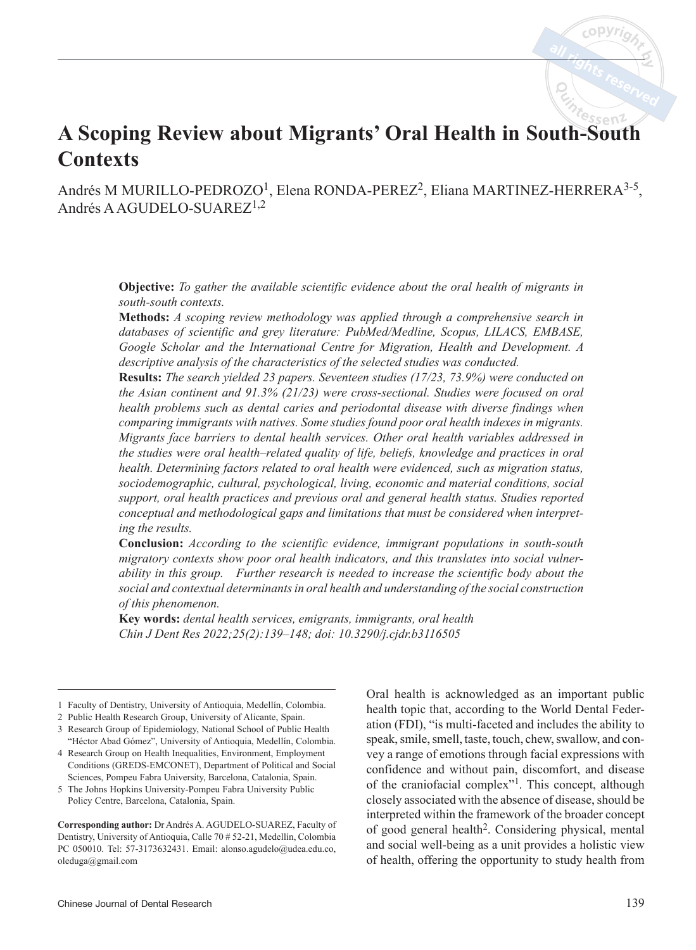# **A Scoping Review about Migrants' Oral Health in South-South Contexts**

Andrés M MURILLO-PEDROZO<sup>1</sup>, Elena RONDA-PEREZ<sup>2</sup>, Eliana MARTINEZ-HERRERA<sup>3-5</sup>, Andrés A AGUDELO-SUAREZ1,2

> **Objective:** *To gather the available scientific evidence about the oral health of migrants in south-south contexts.*

> **Methods:** *A scoping review methodology was applied through a comprehensive search in databases of scientific and grey literature: PubMed/Medline, Scopus, LILACS, EMBASE, Google Scholar and the International Centre for Migration, Health and Development. A descriptive analysis of the characteristics of the selected studies was conducted.*

> **Results:** *The search yielded 23 papers. Seventeen studies (17/23, 73.9%) were conducted on the Asian continent and 91.3% (21/23) were cross-sectional. Studies were focused on oral health problems such as dental caries and periodontal disease with diverse findings when comparing immigrants with natives. Some studies found poor oral health indexes in migrants. Migrants face barriers to dental health services. Other oral health variables addressed in the studies were oral health–related quality of life, beliefs, knowledge and practices in oral health. Determining factors related to oral health were evidenced, such as migration status, sociodemographic, cultural, psychological, living, economic and material conditions, social support, oral health practices and previous oral and general health status. Studies reported conceptual and methodological gaps and limitations that must be considered when interpreting the results.*

> **Conclusion:** *According to the scientific evidence, immigrant populations in south-south migratory contexts show poor oral health indicators, and this translates into social vulnerability in this group. Further research is needed to increase the scientific body about the social and contextual determinants in oral health and understanding of the social construction of this phenomenon.*

**Key words:** *dental health services, emigrants, immigrants, oral health Chin J Dent Res 2022;25(2):139–148; doi: 10.3290/j.cjdr.b3116505*

5 The Johns Hopkins University-Pompeu Fabra University Public Policy Centre, Barcelona, Catalonia, Spain.

**Corresponding author:** Dr Andrés A. AGUDELO-SUAREZ, Faculty of Dentistry, University of Antioquia, Calle 70 # 52-21, Medellín, Colombia PC 050010. Tel: 57-3173632431. Email: alonso.agudelo@udea.edu.co, oleduga@gmail.com

Oral health is acknowledged as an important public health topic that, according to the World Dental Federation (FDI), "is multi-faceted and includes the ability to speak, smile, smell, taste, touch, chew, swallow, and convey a range of emotions through facial expressions with confidence and without pain, discomfort, and disease of the craniofacial complex"1. This concept, although closely associated with the absence of disease, should be interpreted within the framework of the broader concept of good general health2. Considering physical, mental and social well-being as a unit provides a holistic view of health, offering the opportunity to study health from

<sup>1</sup> Faculty of Dentistry, University of Antioquia, Medellín, Colombia.

<sup>2</sup> Public Health Research Group, University of Alicante, Spain.

<sup>3</sup> Research Group of Epidemiology, National School of Public Health "Héctor Abad Gómez", University of Antioquia, Medellín, Colombia.

<sup>4</sup> Research Group on Health Inequalities, Environment, Employment Conditions (GREDS-EMCONET), Department of Political and Social Sciences, Pompeu Fabra University, Barcelona, Catalonia, Spain.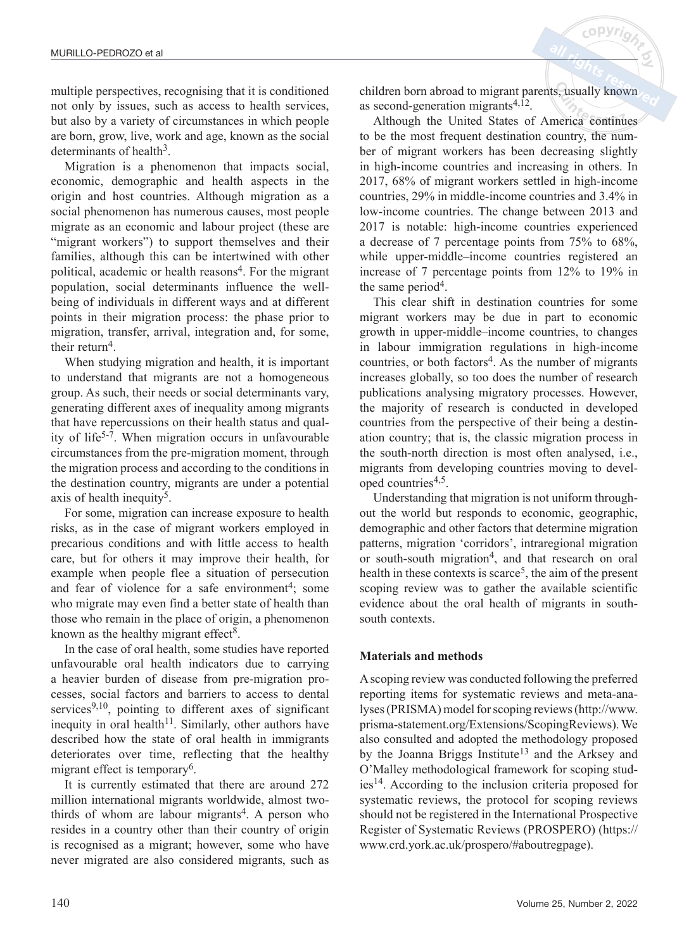multiple perspectives, recognising that it is conditioned not only by issues, such as access to health services, but also by a variety of circumstances in which people are born, grow, live, work and age, known as the social determinants of health $3$ .

Migration is a phenomenon that impacts social, economic, demographic and health aspects in the origin and host countries. Although migration as a social phenomenon has numerous causes, most people migrate as an economic and labour project (these are "migrant workers") to support themselves and their families, although this can be intertwined with other political, academic or health reasons<sup>4</sup>. For the migrant population, social determinants influence the wellbeing of individuals in different ways and at different points in their migration process: the phase prior to migration, transfer, arrival, integration and, for some, their return<sup>4</sup>.

When studying migration and health, it is important to understand that migrants are not a homogeneous group. As such, their needs or social determinants vary, generating different axes of inequality among migrants that have repercussions on their health status and quality of life<sup>5-7</sup>. When migration occurs in unfavourable circumstances from the pre-migration moment, through the migration process and according to the conditions in the destination country, migrants are under a potential axis of health inequity<sup>5</sup>.

For some, migration can increase exposure to health risks, as in the case of migrant workers employed in precarious conditions and with little access to health care, but for others it may improve their health, for example when people flee a situation of persecution and fear of violence for a safe environment<sup>4</sup>; some who migrate may even find a better state of health than those who remain in the place of origin, a phenomenon known as the healthy migrant effect<sup>8</sup>.

In the case of oral health, some studies have reported unfavourable oral health indicators due to carrying a heavier burden of disease from pre-migration processes, social factors and barriers to access to dental services<sup>9,10</sup>, pointing to different axes of significant inequity in oral health<sup>11</sup>. Similarly, other authors have described how the state of oral health in immigrants deteriorates over time, reflecting that the healthy migrant effect is temporary<sup>6</sup>.

It is currently estimated that there are around 272 million international migrants worldwide, almost twothirds of whom are labour migrants<sup>4</sup>. A person who resides in a country other than their country of origin is recognised as a migrant; however, some who have never migrated are also considered migrants, such as children born abroad to migrant parents, usually known as second-generation migrants $4,12$ .

Although the United States of America continues to be the most frequent destination country, the number of migrant workers has been decreasing slightly in high-income countries and increasing in others. In 2017, 68% of migrant workers settled in high-income countries, 29% in middle-income countries and 3.4% in low-income countries. The change between 2013 and 2017 is notable: high-income countries experienced a decrease of 7 percentage points from 75% to 68%, while upper-middle–income countries registered an increase of 7 percentage points from 12% to 19% in the same period<sup>4</sup>.

This clear shift in destination countries for some migrant workers may be due in part to economic growth in upper-middle–income countries, to changes in labour immigration regulations in high-income countries, or both factors<sup>4</sup>. As the number of migrants increases globally, so too does the number of research publications analysing migratory processes. However, the majority of research is conducted in developed countries from the perspective of their being a destination country; that is, the classic migration process in the south-north direction is most often analysed, i.e., migrants from developing countries moving to developed countries<sup> $4,5$ </sup>.

Understanding that migration is not uniform throughout the world but responds to economic, geographic, demographic and other factors that determine migration patterns, migration 'corridors', intraregional migration or south-south migration<sup>4</sup>, and that research on oral health in these contexts is scarce<sup>5</sup>, the aim of the present scoping review was to gather the available scientific evidence about the oral health of migrants in southsouth contexts.

#### **Materials and methods**

A scoping review was conducted following the preferred reporting items for systematic reviews and meta-analyses (PRISMA) model for scoping reviews (http://www. prisma-statement.org/Extensions/ScopingReviews). We also consulted and adopted the methodology proposed by the Joanna Briggs Institute<sup>13</sup> and the Arksey and O'Malley methodological framework for scoping studies14. According to the inclusion criteria proposed for systematic reviews, the protocol for scoping reviews should not be registered in the International Prospective Register of Systematic Reviews (PROSPERO) (https:// www.crd.york.ac.uk/prospero/#aboutregpage).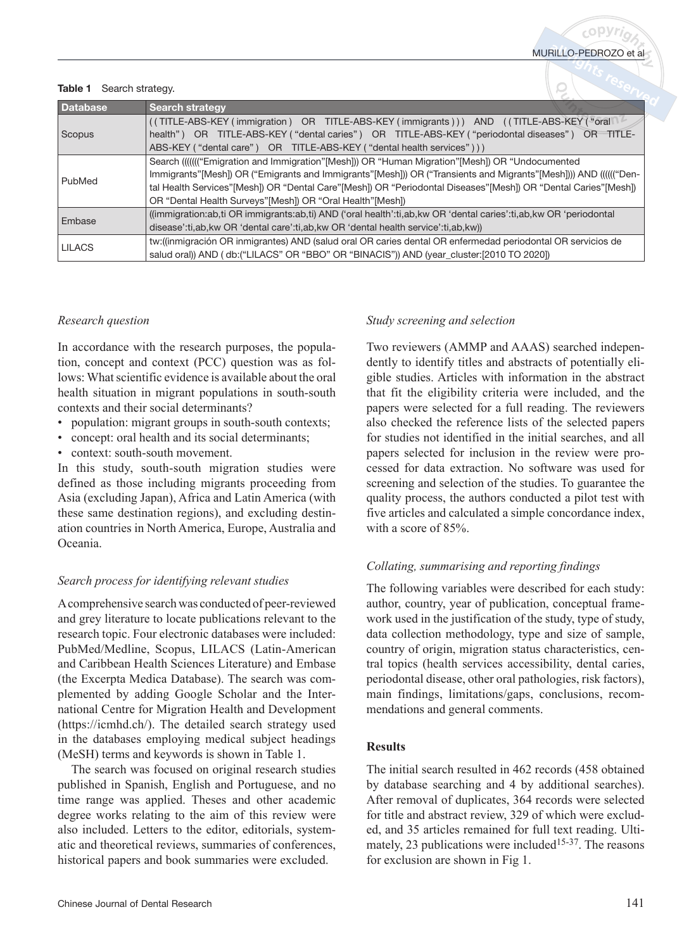#### Table 1 Search strategy.

| <b>Database</b> | <b>Search strategy</b>                                                                                           |
|-----------------|------------------------------------------------------------------------------------------------------------------|
| Scopus          | (TITLE-ABS-KEY (immigration) OR TITLE-ABS-KEY (immigrants))) AND (TITLE-ABS-KEY ("oral                           |
|                 | health") OR TITLE-ABS-KEY ("dental caries") OR TITLE-ABS-KEY ("periodontal diseases") OR<br>TITLE-               |
|                 | ABS-KEY ("dental care") OR TITLE-ABS-KEY ("dental health services")))                                            |
| PubMed          | Search (((((("Emigration and Immigration"[Mesh])) OR "Human Migration"[Mesh]) OR "Undocumented                   |
|                 | Immigrants"[Mesh]) OR ("Emigrants and Immigrants"[Mesh])) OR ("Transients and Migrants"[Mesh]))) AND (((((("Den- |
|                 | tal Health Services"[Mesh]) OR "Dental Care"[Mesh]) OR "Periodontal Diseases"[Mesh]) OR "Dental Caries"[Mesh])   |
|                 | OR "Dental Health Surveys" [Mesh]) OR "Oral Health" [Mesh])                                                      |
| Embase          | ((immigration:ab,ti OR immigrants:ab,ti) AND ('oral health':ti,ab,kw OR 'dental caries':ti,ab,kw OR 'periodontal |
|                 | disease':ti,ab,kw OR 'dental care':ti,ab,kw OR 'dental health service':ti,ab,kw))                                |
| <b>LILACS</b>   | tw:((inmigración OR inmigrantes) AND (salud oral OR caries dental OR enfermedad periodontal OR servicios de      |
|                 | salud oral)) AND (db: ("LILACS" OR "BBO" OR "BINACIS")) AND (year_cluster: [2010 TO 2020])                       |

#### *Research question*

In accordance with the research purposes, the population, concept and context (PCC) question was as follows: What scientific evidence is available about the oral health situation in migrant populations in south-south contexts and their social determinants?

- population: migrant groups in south-south contexts;
- concept: oral health and its social determinants;
- context: south-south movement.

In this study, south-south migration studies were defined as those including migrants proceeding from Asia (excluding Japan), Africa and Latin America (with these same destination regions), and excluding destination countries in North America, Europe, Australia and Oceania.

## *Search process for identifying relevant studies*

A comprehensive search was conducted of peer-reviewed and grey literature to locate publications relevant to the research topic. Four electronic databases were included: PubMed/Medline, Scopus, LILACS (Latin-American and Caribbean Health Sciences Literature) and Embase (the Excerpta Medica Database). The search was complemented by adding Google Scholar and the International Centre for Migration Health and Development (https://icmhd.ch/). The detailed search strategy used in the databases employing medical subject headings (MeSH) terms and keywords is shown in Table 1.

The search was focused on original research studies published in Spanish, English and Portuguese, and no time range was applied. Theses and other academic degree works relating to the aim of this review were also included. Letters to the editor, editorials, systematic and theoretical reviews, summaries of conferences, historical papers and book summaries were excluded.

# *Study screening and selection*

Two reviewers (AMMP and AAAS) searched independently to identify titles and abstracts of potentially eligible studies. Articles with information in the abstract that fit the eligibility criteria were included, and the papers were selected for a full reading. The reviewers also checked the reference lists of the selected papers for studies not identified in the initial searches, and all papers selected for inclusion in the review were processed for data extraction. No software was used for screening and selection of the studies. To guarantee the quality process, the authors conducted a pilot test with five articles and calculated a simple concordance index, with a score of 85%.

## *Collating, summarising and reporting findings*

The following variables were described for each study: author, country, year of publication, conceptual framework used in the justification of the study, type of study, data collection methodology, type and size of sample, country of origin, migration status characteristics, central topics (health services accessibility, dental caries, periodontal disease, other oral pathologies, risk factors), main findings, limitations/gaps, conclusions, recommendations and general comments.

## **Results**

The initial search resulted in 462 records (458 obtained by database searching and 4 by additional searches). After removal of duplicates, 364 records were selected for title and abstract review, 329 of which were excluded, and 35 articles remained for full text reading. Ultimately, 23 publications were included<sup>15-37</sup>. The reasons for exclusion are shown in Fig 1.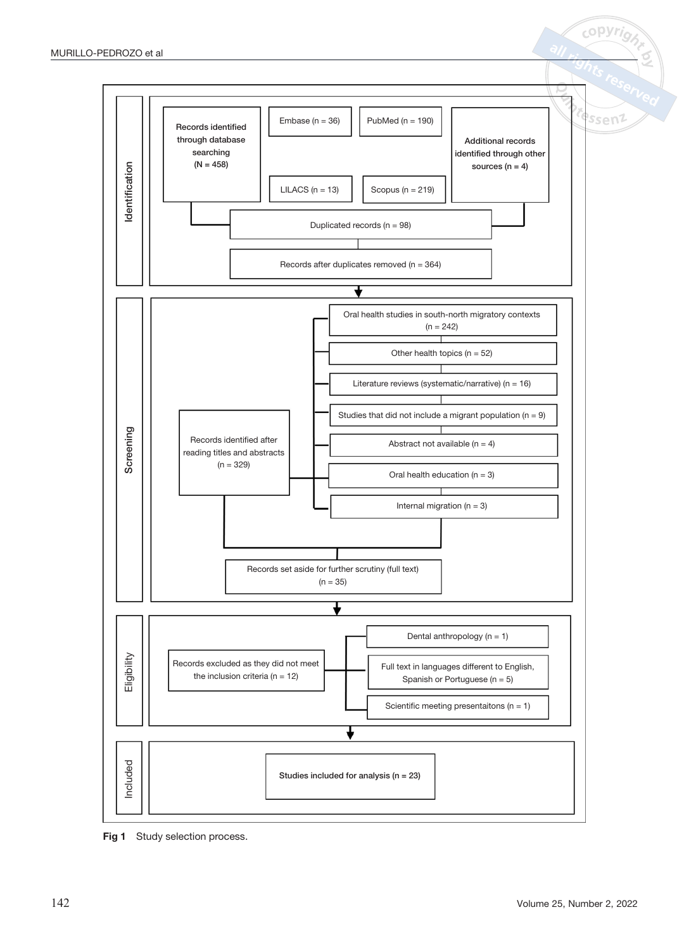

copyrio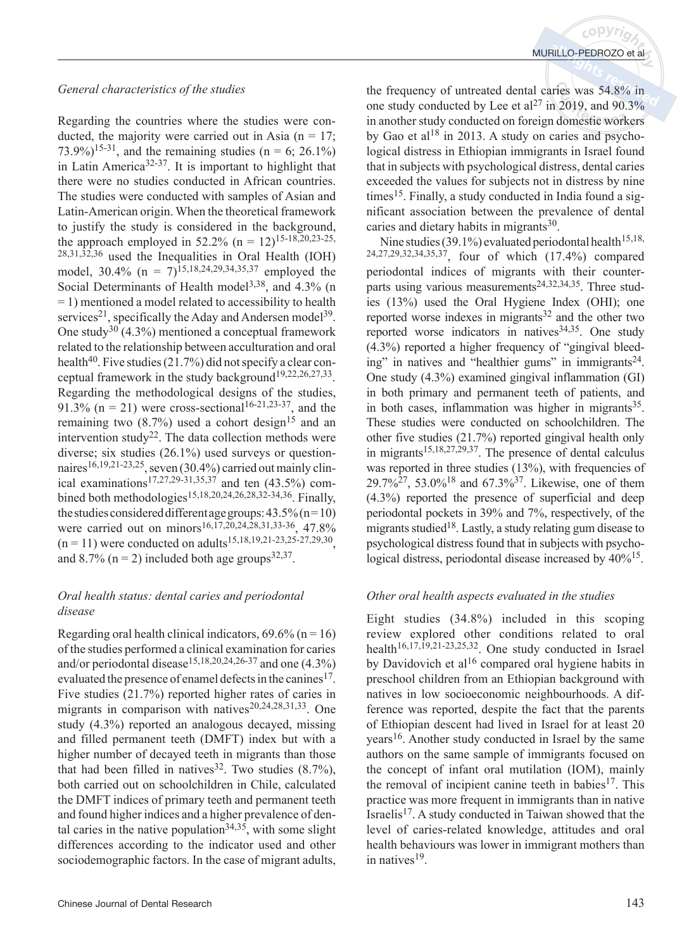#### *General characteristics of the studies*

Regarding the countries where the studies were conducted, the majority were carried out in Asia  $(n = 17)$ . 73.9%)<sup>15-31</sup>, and the remaining studies (n = 6; 26.1%) in Latin America<sup>32-37</sup>. It is important to highlight that there were no studies conducted in African countries. The studies were conducted with samples of Asian and Latin-American origin. When the theoretical framework to justify the study is considered in the background, the approach employed in 52.2% (n =  $12$ )<sup>15-18,20,23-25,</sup>  $28,31,32,36$  used the Inequalities in Oral Health (IOH) model,  $30.4\%$  (n =  $7)^{15,18,24,29,34,35,37}$  employed the Social Determinants of Health model<sup>3,38</sup>, and  $4.3\%$  (n = 1) mentioned a model related to accessibility to health services<sup>21</sup>, specifically the Aday and Andersen model<sup>39</sup>. One study<sup>30</sup> (4.3%) mentioned a conceptual framework related to the relationship between acculturation and oral health<sup>40</sup>. Five studies  $(21.7%)$  did not specify a clear conceptual framework in the study background<sup>19,22,26,27,33</sup>. Regarding the methodological designs of the studies, 91.3% ( $n = 21$ ) were cross-sectional<sup>16-21,23-37</sup>, and the remaining two  $(8.7%)$  used a cohort design<sup>15</sup> and an intervention study<sup>22</sup>. The data collection methods were diverse; six studies (26.1%) used surveys or questionnaires<sup>16,19,21-23,25</sup>, seven  $(30.4\%)$  carried out mainly clinical examinations<sup>17,27,29-31,35,37</sup> and ten  $(43.5\%)$  combined both methodologies<sup>15,18,20,24,26,28,32-34,36</sup>. Finally, the studies considered different age groups:  $43.5\%$  (n=10) were carried out on minors<sup>16,17,20,24,28,31,33-36</sup>, 47.8%  $(n = 11)$  were conducted on adults<sup>15,18,19,21-23,25-27,29,30</sup> and  $8.7\%$  (n = 2) included both age groups<sup>32,37</sup>.

## *Oral health status: dental caries and periodontal disease*

Regarding oral health clinical indicators,  $69.6\%$  (n = 16) of the studies performed a clinical examination for caries and/or periodontal disease<sup>15,18,20,24,26-37</sup> and one  $(4.3\%)$ evaluated the presence of enamel defects in the canines<sup>17</sup>. Five studies (21.7%) reported higher rates of caries in migrants in comparison with natives<sup>20,24,28,31,33</sup>. One study (4.3%) reported an analogous decayed, missing and filled permanent teeth (DMFT) index but with a higher number of decayed teeth in migrants than those that had been filled in natives  $32$ . Two studies  $(8.7\%)$ , both carried out on schoolchildren in Chile, calculated the DMFT indices of primary teeth and permanent teeth and found higher indices and a higher prevalence of dental caries in the native population<sup>34,35</sup>, with some slight differences according to the indicator used and other sociodemographic factors. In the case of migrant adults, the frequency of untreated dental caries was 54.8% in one study conducted by Lee et al<sup>27</sup> in 2019, and 90.3% in another study conducted on foreign domestic workers by Gao et al<sup>18</sup> in 2013. A study on caries and psychological distress in Ethiopian immigrants in Israel found that in subjects with psychological distress, dental caries exceeded the values for subjects not in distress by nine  $times<sup>15</sup>$ . Finally, a study conducted in India found a significant association between the prevalence of dental caries and dietary habits in migrants<sup>30</sup>.

Nine studies (39.1%) evaluated periodontal health<sup>15,18,</sup> 24,27,29,32,34,35,37, four of which (17.4%) compared periodontal indices of migrants with their counterparts using various measurements<sup>24,32,34,35</sup>. Three studies (13%) used the Oral Hygiene Index (OHI); one reported worse indexes in migrants<sup>32</sup> and the other two reported worse indicators in natives  $34,35$ . One study (4.3%) reported a higher frequency of "gingival bleeding" in natives and "healthier gums" in immigrants $24$ . One study (4.3%) examined gingival inflammation (GI) in both primary and permanent teeth of patients, and in both cases, inflammation was higher in migrants $35$ . These studies were conducted on schoolchildren. The other five studies (21.7%) reported gingival health only in migrants15,18,27,29,37. The presence of dental calculus was reported in three studies (13%), with frequencies of  $29.7\%^{27}$ , 53.0%<sup>18</sup> and 67.3%<sup>37</sup>. Likewise, one of them (4.3%) reported the presence of superficial and deep periodontal pockets in 39% and 7%, respectively, of the migrants studied<sup>18</sup>. Lastly, a study relating gum disease to psychological distress found that in subjects with psychological distress, periodontal disease increased by  $40\frac{\cancel{0}}{15}$ .

#### *Other oral health aspects evaluated in the studies*

Eight studies (34.8%) included in this scoping review explored other conditions related to oral health<sup>16,17,19,21-23,25,32</sup>. One study conducted in Israel by Davidovich et al<sup>16</sup> compared oral hygiene habits in preschool children from an Ethiopian background with natives in low socioeconomic neighbourhoods. A difference was reported, despite the fact that the parents of Ethiopian descent had lived in Israel for at least 20 years16. Another study conducted in Israel by the same authors on the same sample of immigrants focused on the concept of infant oral mutilation (IOM), mainly the removal of incipient canine teeth in babies<sup>17</sup>. This practice was more frequent in immigrants than in native Israelis17. A study conducted in Taiwan showed that the level of caries-related knowledge, attitudes and oral health behaviours was lower in immigrant mothers than in natives<sup>19</sup>.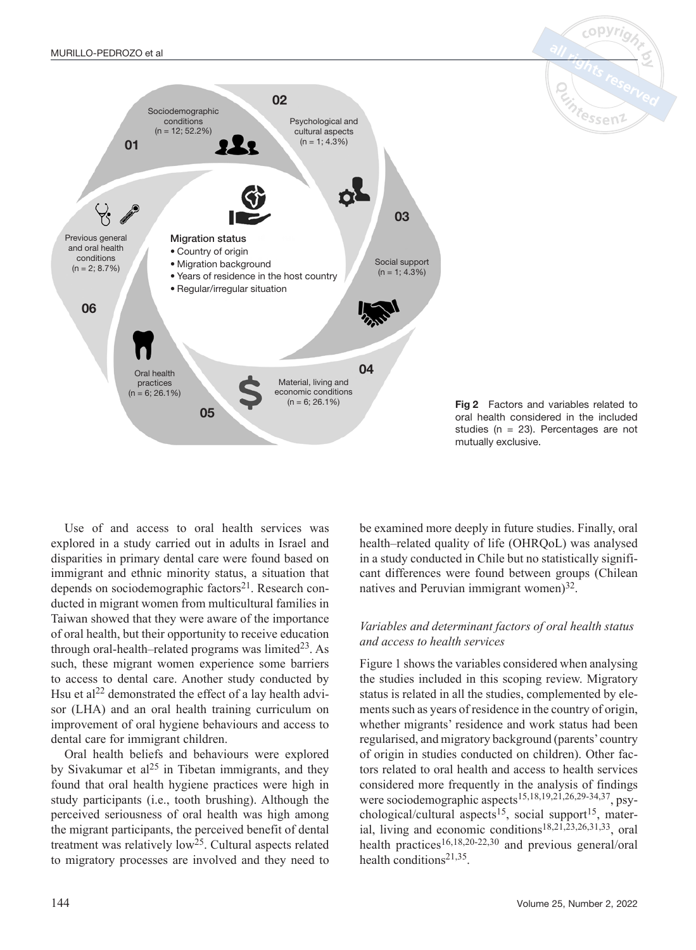

Fig 2 Factors and variables related to oral health considered in the included studies (n = 23). Percentages are not mutually exclusive.

.<br><sup>e</sup>ssen

Use of and access to oral health services was explored in a study carried out in adults in Israel and disparities in primary dental care were found based on immigrant and ethnic minority status, a situation that depends on sociodemographic factors<sup>21</sup>. Research conducted in migrant women from multicultural families in Taiwan showed that they were aware of the importance of oral health, but their opportunity to receive education through oral-health–related programs was limited<sup>23</sup>. As such, these migrant women experience some barriers to access to dental care. Another study conducted by Hsu et al<sup>22</sup> demonstrated the effect of a lay health advisor (LHA) and an oral health training curriculum on improvement of oral hygiene behaviours and access to dental care for immigrant children.

Oral health beliefs and behaviours were explored by Sivakumar et al<sup>25</sup> in Tibetan immigrants, and they found that oral health hygiene practices were high in study participants (i.e., tooth brushing). Although the perceived seriousness of oral health was high among the migrant participants, the perceived benefit of dental treatment was relatively  $low^{25}$ . Cultural aspects related to migratory processes are involved and they need to

be examined more deeply in future studies. Finally, oral health–related quality of life (OHRQoL) was analysed in a study conducted in Chile but no statistically significant differences were found between groups (Chilean natives and Peruvian immigrant women) $^{32}$ .

#### *Variables and determinant factors of oral health status and access to health services*

Figure 1 shows the variables considered when analysing the studies included in this scoping review. Migratory status is related in all the studies, complemented by elements such as years of residence in the country of origin, whether migrants' residence and work status had been regularised, and migratory background (parents' country of origin in studies conducted on children). Other factors related to oral health and access to health services considered more frequently in the analysis of findings were sociodemographic aspects15,18,19,21,26,29-34,37, psychological/cultural aspects<sup>15</sup>, social support<sup>15</sup>, material, living and economic conditions<sup>18,21,23,26,31,33</sup>, oral health practices<sup>16,18,20-22,30</sup> and previous general/oral health conditions<sup>21,35</sup>.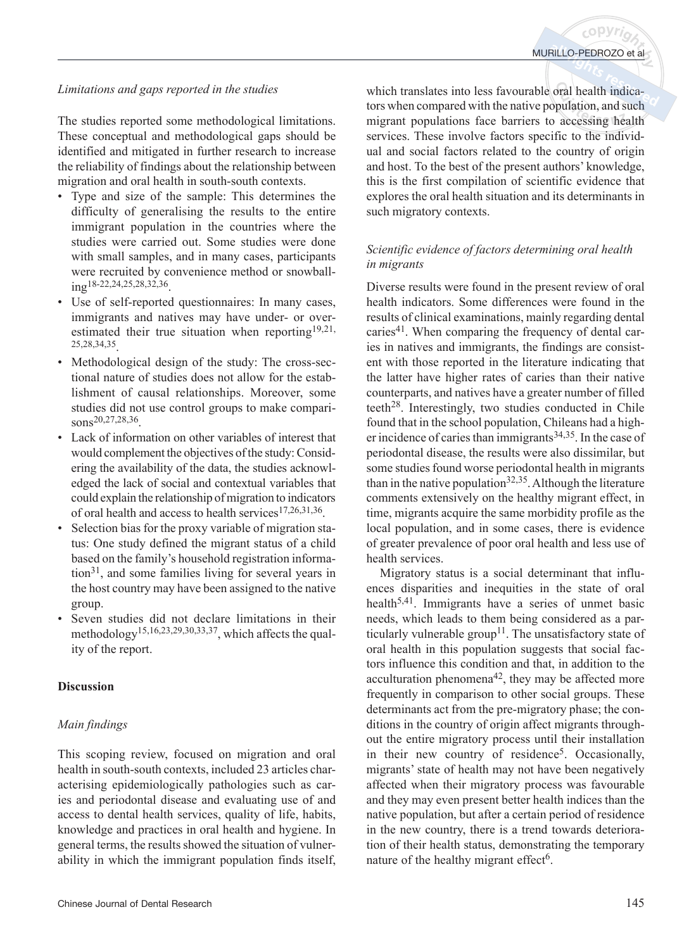# *Limitations and gaps reported in the studies*

The studies reported some methodological limitations. These conceptual and methodological gaps should be identified and mitigated in further research to increase the reliability of findings about the relationship between migration and oral health in south-south contexts.

- Type and size of the sample: This determines the difficulty of generalising the results to the entire immigrant population in the countries where the studies were carried out. Some studies were done with small samples, and in many cases, participants were recruited by convenience method or snowball- $\frac{1}{10}$ g<sup>18-22</sup>,24,25,28,32,36
- Use of self-reported questionnaires: In many cases, immigrants and natives may have under- or overestimated their true situation when reporting<sup>19,21,</sup> 25,28,34,35.
- Methodological design of the study: The cross-sectional nature of studies does not allow for the establishment of causal relationships. Moreover, some studies did not use control groups to make comparisons<sup>20,27,28,36</sup>
- Lack of information on other variables of interest that would complement the objectives of the study: Considering the availability of the data, the studies acknowledged the lack of social and contextual variables that could explain the relationship of migration to indicators of oral health and access to health services<sup>17,26,31,36</sup>.
- Selection bias for the proxy variable of migration status: One study defined the migrant status of a child based on the family's household registration informa- $\mu$ <sub>1</sub>, and some families living for several years in the host country may have been assigned to the native group.
- Seven studies did not declare limitations in their methodology15,16,23,29,30,33,37, which affects the quality of the report.

# **Discussion**

# *Main findings*

This scoping review, focused on migration and oral health in south-south contexts, included 23 articles characterising epidemiologically pathologies such as caries and periodontal disease and evaluating use of and access to dental health services, quality of life, habits, knowledge and practices in oral health and hygiene. In general terms, the results showed the situation of vulnerability in which the immigrant population finds itself, which translates into less favourable oral health indicators when compared with the native population, and such migrant populations face barriers to accessing health services. These involve factors specific to the individual and social factors related to the country of origin and host. To the best of the present authors' knowledge, this is the first compilation of scientific evidence that explores the oral health situation and its determinants in such migratory contexts.

## *Scientific evidence of factors determining oral health in migrants*

Diverse results were found in the present review of oral health indicators. Some differences were found in the results of clinical examinations, mainly regarding dental caries<sup>41</sup>. When comparing the frequency of dental caries in natives and immigrants, the findings are consistent with those reported in the literature indicating that the latter have higher rates of caries than their native counterparts, and natives have a greater number of filled teeth $^{28}$ . Interestingly, two studies conducted in Chile found that in the school population, Chileans had a higher incidence of caries than immigrants $34,35$ . In the case of periodontal disease, the results were also dissimilar, but some studies found worse periodontal health in migrants than in the native population<sup>32,35</sup>. Although the literature comments extensively on the healthy migrant effect, in time, migrants acquire the same morbidity profile as the local population, and in some cases, there is evidence of greater prevalence of poor oral health and less use of health services.

Migratory status is a social determinant that influences disparities and inequities in the state of oral health<sup>5,41</sup>. Immigrants have a series of unmet basic needs, which leads to them being considered as a particularly vulnerable group<sup>11</sup>. The unsatisfactory state of oral health in this population suggests that social factors influence this condition and that, in addition to the acculturation phenomena42, they may be affected more frequently in comparison to other social groups. These determinants act from the pre-migratory phase; the conditions in the country of origin affect migrants throughout the entire migratory process until their installation in their new country of residence<sup>5</sup>. Occasionally, migrants' state of health may not have been negatively affected when their migratory process was favourable and they may even present better health indices than the native population, but after a certain period of residence in the new country, there is a trend towards deterioration of their health status, demonstrating the temporary nature of the healthy migrant effect<sup>6</sup>.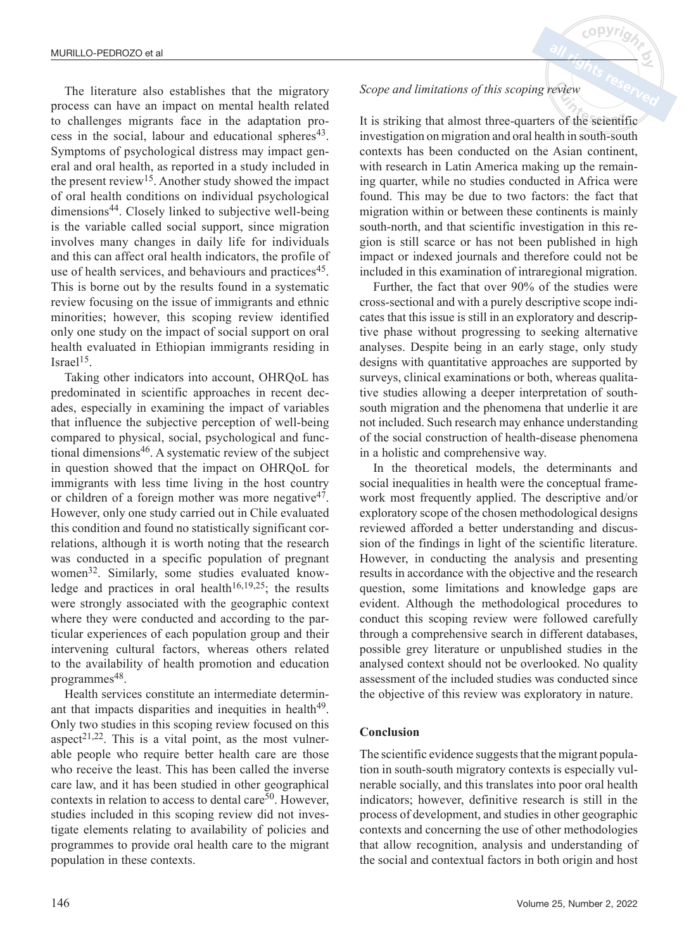The literature also establishes that the migratory process can have an impact on mental health related to challenges migrants face in the adaptation process in the social, labour and educational spheres<sup>43</sup>. Symptoms of psychological distress may impact general and oral health, as reported in a study included in the present review<sup>15</sup>. Another study showed the impact of oral health conditions on individual psychological dimensions44. Closely linked to subjective well-being is the variable called social support, since migration involves many changes in daily life for individuals and this can affect oral health indicators, the profile of use of health services, and behaviours and practices<sup>45</sup>. This is borne out by the results found in a systematic review focusing on the issue of immigrants and ethnic minorities; however, this scoping review identified only one study on the impact of social support on oral health evaluated in Ethiopian immigrants residing in Israel $15$ .

Taking other indicators into account, OHRQoL has predominated in scientific approaches in recent decades, especially in examining the impact of variables that influence the subjective perception of well-being compared to physical, social, psychological and functional dimensions<sup>46</sup>. A systematic review of the subject in question showed that the impact on OHRQoL for immigrants with less time living in the host country or children of a foreign mother was more negative<sup>47</sup>. However, only one study carried out in Chile evaluated this condition and found no statistically significant correlations, although it is worth noting that the research was conducted in a specific population of pregnant women32. Similarly, some studies evaluated knowledge and practices in oral health<sup>16,19,25</sup>; the results were strongly associated with the geographic context where they were conducted and according to the particular experiences of each population group and their intervening cultural factors, whereas others related to the availability of health promotion and education programmes<sup>48</sup>.

Health services constitute an intermediate determinant that impacts disparities and inequities in health<sup>49</sup>. Only two studies in this scoping review focused on this aspect<sup>21,22</sup>. This is a vital point, as the most vulnerable people who require better health care are those who receive the least. This has been called the inverse care law, and it has been studied in other geographical contexts in relation to access to dental care<sup>50</sup>. However, studies included in this scoping review did not investigate elements relating to availability of policies and programmes to provide oral health care to the migrant population in these contexts.

### *Scope and limitations of this scoping review*

It is striking that almost three-quarters of the scientific investigation on migration and oral health in south-south contexts has been conducted on the Asian continent, with research in Latin America making up the remaining quarter, while no studies conducted in Africa were found. This may be due to two factors: the fact that migration within or between these continents is mainly south-north, and that scientific investigation in this region is still scarce or has not been published in high impact or indexed journals and therefore could not be included in this examination of intraregional migration.

Further, the fact that over 90% of the studies were cross-sectional and with a purely descriptive scope indicates that this issue is still in an exploratory and descriptive phase without progressing to seeking alternative analyses. Despite being in an early stage, only study designs with quantitative approaches are supported by surveys, clinical examinations or both, whereas qualitative studies allowing a deeper interpretation of southsouth migration and the phenomena that underlie it are not included. Such research may enhance understanding of the social construction of health-disease phenomena in a holistic and comprehensive way.

In the theoretical models, the determinants and social inequalities in health were the conceptual framework most frequently applied. The descriptive and/or exploratory scope of the chosen methodological designs reviewed afforded a better understanding and discussion of the findings in light of the scientific literature. However, in conducting the analysis and presenting results in accordance with the objective and the research question, some limitations and knowledge gaps are evident. Although the methodological procedures to conduct this scoping review were followed carefully through a comprehensive search in different databases, possible grey literature or unpublished studies in the analysed context should not be overlooked. No quality assessment of the included studies was conducted since the objective of this review was exploratory in nature.

#### **Conclusion**

The scientific evidence suggests that the migrant population in south-south migratory contexts is especially vulnerable socially, and this translates into poor oral health indicators; however, definitive research is still in the process of development, and studies in other geographic contexts and concerning the use of other methodologies that allow recognition, analysis and understanding of the social and contextual factors in both origin and host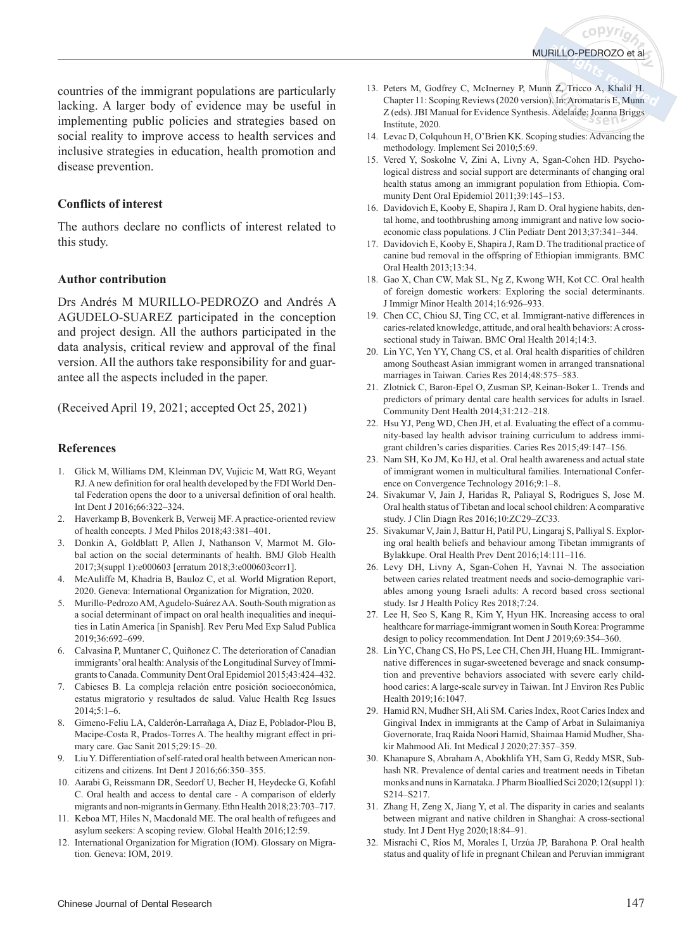countries of the immigrant populations are particularly lacking. A larger body of evidence may be useful in implementing public policies and strategies based on social reality to improve access to health services and inclusive strategies in education, health promotion and disease prevention.

#### **Conflicts of interest**

The authors declare no conflicts of interest related to this study.

#### **Author contribution**

Drs Andrés M MURILLO-PEDROZO and Andrés A AGUDELO-SUAREZ participated in the conception and project design. All the authors participated in the data analysis, critical review and approval of the final version. All the authors take responsibility for and guarantee all the aspects included in the paper.

(Received April 19, 2021; accepted Oct 25, 2021)

#### **References**

- 1. Glick M, Williams DM, Kleinman DV, Vujicic M, Watt RG, Weyant RJ. A new definition for oral health developed by the FDI World Dental Federation opens the door to a universal definition of oral health. Int Dent J 2016;66:322–324.
- 2. Haverkamp B, Bovenkerk B, Verweij MF. A practice-oriented review of health concepts. J Med Philos 2018;43:381–401.
- 3. Donkin A, Goldblatt P, Allen J, Nathanson V, Marmot M. Global action on the social determinants of health. BMJ Glob Health 2017;3(suppl 1):e000603 [erratum 2018;3:e000603corr1].
- 4. McAuliffe M, Khadria B, Bauloz C, et al. World Migration Report, 2020. Geneva: International Organization for Migration, 2020.
- 5. Murillo-Pedrozo AM, Agudelo-Suárez AA. South-South migration as a social determinant of impact on oral health inequalities and inequities in Latin America [in Spanish]. Rev Peru Med Exp Salud Publica 2019;36:692–699.
- 6. Calvasina P, Muntaner C, Quiñonez C. The deterioration of Canadian immigrants' oral health: Analysis of the Longitudinal Survey of Immigrants to Canada. Community Dent Oral Epidemiol 2015;43:424–432.
- 7. Cabieses B. La compleja relación entre posición socioeconómica, estatus migratorio y resultados de salud. Value Health Reg Issues 2014;5:1–6.
- 8. Gimeno-Feliu LA, Calderón-Larrañaga A, Diaz E, Poblador-Plou B, Macipe-Costa R, Prados-Torres A. The healthy migrant effect in primary care. Gac Sanit 2015;29:15–20.
- 9. Liu Y. Differentiation of self-rated oral health between American noncitizens and citizens. Int Dent J 2016;66:350–355.
- 10. Aarabi G, Reissmann DR, Seedorf U, Becher H, Heydecke G, Kofahl C. Oral health and access to dental care - A comparison of elderly migrants and non-migrants in Germany. Ethn Health 2018;23:703–717.
- 11. Keboa MT, Hiles N, Macdonald ME. The oral health of refugees and asylum seekers: A scoping review. Global Health 2016;12:59.
- 12. International Organization for Migration (IOM). Glossary on Migration. Geneva: IOM, 2019.
- 13. Peters M, Godfrey C, McInerney P, Munn Z, Tricco A, Khalil H. Chapter 11: Scoping Reviews (2020 version). In: Aromataris E, Munn Z (eds). JBI Manual for Evidence Synthesis. Adelaide: Joanna Briggs Institute, 2020.
- 14. Levac D, Colquhoun H, O'Brien KK. Scoping studies: Advancing the methodology. Implement Sci 2010;5:69.
- 15. Vered Y, Soskolne V, Zini A, Livny A, Sgan-Cohen HD. Psychological distress and social support are determinants of changing oral health status among an immigrant population from Ethiopia. Community Dent Oral Epidemiol 2011;39:145–153.
- 16. Davidovich E, Kooby E, Shapira J, Ram D. Oral hygiene habits, dental home, and toothbrushing among immigrant and native low socioeconomic class populations. J Clin Pediatr Dent 2013;37:341–344.
- 17. Davidovich E, Kooby E, Shapira J, Ram D. The traditional practice of canine bud removal in the offspring of Ethiopian immigrants. BMC Oral Health 2013;13:34.
- 18. Gao X, Chan CW, Mak SL, Ng Z, Kwong WH, Kot CC. Oral health of foreign domestic workers: Exploring the social determinants. J Immigr Minor Health 2014;16:926–933.
- 19. Chen CC, Chiou SJ, Ting CC, et al. Immigrant-native differences in caries-related knowledge, attitude, and oral health behaviors: A crosssectional study in Taiwan. BMC Oral Health 2014;14:3.
- 20. Lin YC, Yen YY, Chang CS, et al. Oral health disparities of children among Southeast Asian immigrant women in arranged transnational marriages in Taiwan. Caries Res 2014;48:575–583.
- 21. Zlotnick C, Baron-Epel O, Zusman SP, Keinan-Boker L. Trends and predictors of primary dental care health services for adults in Israel. Community Dent Health 2014;31:212–218.
- 22. Hsu YJ, Peng WD, Chen JH, et al. Evaluating the effect of a community-based lay health advisor training curriculum to address immigrant children's caries disparities. Caries Res 2015;49:147–156.
- 23. Nam SH, Ko JM, Ko HJ, et al. Oral health awareness and actual state of immigrant women in multicultural families. International Conference on Convergence Technology 2016;9:1–8.
- 24. Sivakumar V, Jain J, Haridas R, Paliayal S, Rodrigues S, Jose M. Oral health status of Tibetan and local school children: A comparative study. J Clin Diagn Res 2016;10:ZC29–ZC33.
- 25. Sivakumar V, Jain J, Battur H, Patil PU, Lingaraj S, Palliyal S. Exploring oral health beliefs and behaviour among Tibetan immigrants of Bylakkupe. Oral Health Prev Dent 2016;14:111–116.
- 26. Levy DH, Livny A, Sgan-Cohen H, Yavnai N. The association between caries related treatment needs and socio-demographic variables among young Israeli adults: A record based cross sectional study. Isr J Health Policy Res 2018;7:24.
- 27. Lee H, Seo S, Kang R, Kim Y, Hyun HK. Increasing access to oral healthcare for marriage-immigrant women in South Korea: Programme design to policy recommendation. Int Dent J 2019;69:354–360.
- 28. Lin YC, Chang CS, Ho PS, Lee CH, Chen JH, Huang HL. Immigrantnative differences in sugar-sweetened beverage and snack consumption and preventive behaviors associated with severe early childhood caries: A large-scale survey in Taiwan. Int J Environ Res Public Health 2019;16:1047.
- 29. Hamid RN, Mudher SH, Ali SM. Caries Index, Root Caries Index and Gingival Index in immigrants at the Camp of Arbat in Sulaimaniya Governorate, Iraq Raida Noori Hamid, Shaimaa Hamid Mudher, Shakir Mahmood Ali. Int Medical J 2020;27:357–359.
- 30. Khanapure S, Abraham A, Abokhlifa YH, Sam G, Reddy MSR, Subhash NR. Prevalence of dental caries and treatment needs in Tibetan monks and nuns in Karnataka. J Pharm Bioallied Sci 2020;12(suppl 1): S214–S217.
- 31. Zhang H, Zeng X, Jiang Y, et al. The disparity in caries and sealants between migrant and native children in Shanghai: A cross-sectional study. Int J Dent Hyg 2020;18:84–91.
- 32. Misrachi C, Ríos M, Morales I, Urzúa JP, Barahona P. Oral health status and quality of life in pregnant Chilean and Peruvian immigrant